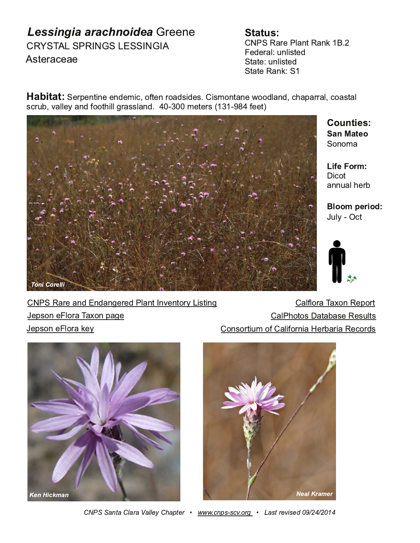$$$  (%& %#\$! % %%!  $9:8+$ ) -

 $\neq$  #%\$) 8 #35: \$) 52  $-$  ,  $-$  8 3 ; 539:- ,  $%$ ):- ; 539:-,  $%$  :- \$) 52 %

% 87 - 5: 5 - - 5, - 4 1 + 6.: - 5 86), 91 - 9 9 194 65: 5 - = 66, 3 5, +0) 7) 88 3 +6) 9: 3  $9+8$  \* <  $3\frac{3}{2}$  ?  $5$ ,  $.66:013/8$  993 5, 4 -  $\cdot$  89  $\sim 10^{11}$  and  $\sim 10^{11}$ 

 $%6564)$ 

 $46:$  $(55; ) 30-8$ 

 $;3$  " +:

| $\pm 4\%$ \$)8)5,5,5/-8,#35:5<-5:68?9:15/ | $3368$ & $>65$ \$ - 768               |
|-------------------------------------------|---------------------------------------|
| $-7965 - 368$ & $>657$ / -                | $(3406:69)$ : $(*)$ 9 $-$ \$ - 9; 39  |
| <u>-7965 - 368 2-?</u>                    | $65968146.$ $36851 - 8$ 81 \$ - +68 9 |